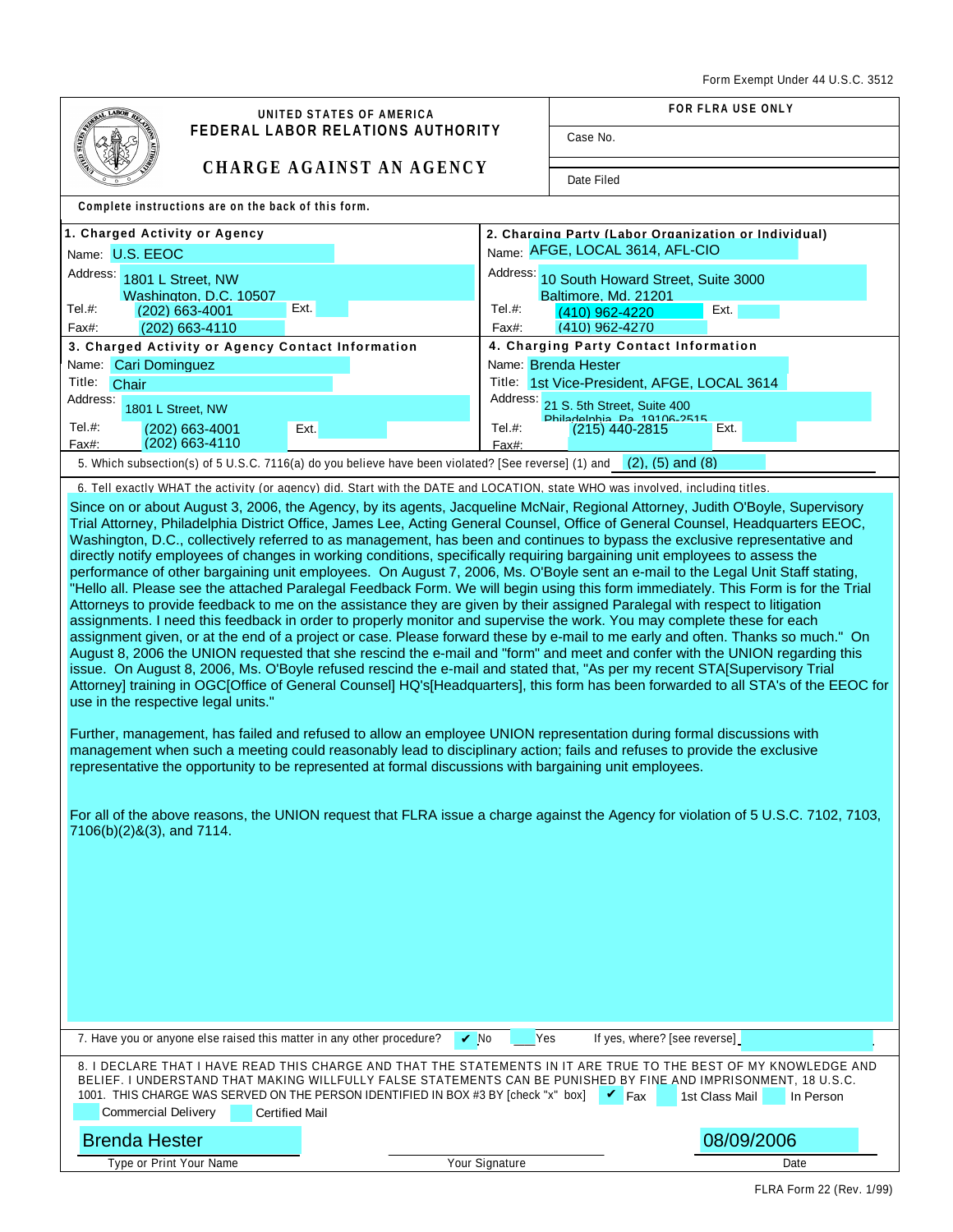| <b>LABOP</b><br>UNITED STATES OF AMERICA                                                                                                                                                                                                                                                                                                                                                                                                                                                                                                                                                                                                                                                                                                                                                                                                                                                                                                                                                                                                                                                                                                                                                                                                                                                                                                                                                                                                                                                                                                                                                                                                                                                                                                                                                                                                                                                                                                                                                                                                                                                                                                                                  | <b>FOR FLRA USE ONLY</b>                                                |
|---------------------------------------------------------------------------------------------------------------------------------------------------------------------------------------------------------------------------------------------------------------------------------------------------------------------------------------------------------------------------------------------------------------------------------------------------------------------------------------------------------------------------------------------------------------------------------------------------------------------------------------------------------------------------------------------------------------------------------------------------------------------------------------------------------------------------------------------------------------------------------------------------------------------------------------------------------------------------------------------------------------------------------------------------------------------------------------------------------------------------------------------------------------------------------------------------------------------------------------------------------------------------------------------------------------------------------------------------------------------------------------------------------------------------------------------------------------------------------------------------------------------------------------------------------------------------------------------------------------------------------------------------------------------------------------------------------------------------------------------------------------------------------------------------------------------------------------------------------------------------------------------------------------------------------------------------------------------------------------------------------------------------------------------------------------------------------------------------------------------------------------------------------------------------|-------------------------------------------------------------------------|
| O MILE<br><b>FEDERAL LABOR RELATIONS AUTHORITY</b>                                                                                                                                                                                                                                                                                                                                                                                                                                                                                                                                                                                                                                                                                                                                                                                                                                                                                                                                                                                                                                                                                                                                                                                                                                                                                                                                                                                                                                                                                                                                                                                                                                                                                                                                                                                                                                                                                                                                                                                                                                                                                                                        | Case No.                                                                |
| <b>CHARGE AGAINST AN AGENCY</b><br>Date Filed                                                                                                                                                                                                                                                                                                                                                                                                                                                                                                                                                                                                                                                                                                                                                                                                                                                                                                                                                                                                                                                                                                                                                                                                                                                                                                                                                                                                                                                                                                                                                                                                                                                                                                                                                                                                                                                                                                                                                                                                                                                                                                                             |                                                                         |
| Complete instructions are on the back of this form.                                                                                                                                                                                                                                                                                                                                                                                                                                                                                                                                                                                                                                                                                                                                                                                                                                                                                                                                                                                                                                                                                                                                                                                                                                                                                                                                                                                                                                                                                                                                                                                                                                                                                                                                                                                                                                                                                                                                                                                                                                                                                                                       |                                                                         |
| 1. Charged Activity or Agency                                                                                                                                                                                                                                                                                                                                                                                                                                                                                                                                                                                                                                                                                                                                                                                                                                                                                                                                                                                                                                                                                                                                                                                                                                                                                                                                                                                                                                                                                                                                                                                                                                                                                                                                                                                                                                                                                                                                                                                                                                                                                                                                             | 2. Charaina Party (Labor Organization or Individual)                    |
| Name: U.S. EEOC                                                                                                                                                                                                                                                                                                                                                                                                                                                                                                                                                                                                                                                                                                                                                                                                                                                                                                                                                                                                                                                                                                                                                                                                                                                                                                                                                                                                                                                                                                                                                                                                                                                                                                                                                                                                                                                                                                                                                                                                                                                                                                                                                           | Name: AFGE, LOCAL 3614, AFL-CIO                                         |
| Address:<br>1801 L Street, NW                                                                                                                                                                                                                                                                                                                                                                                                                                                                                                                                                                                                                                                                                                                                                                                                                                                                                                                                                                                                                                                                                                                                                                                                                                                                                                                                                                                                                                                                                                                                                                                                                                                                                                                                                                                                                                                                                                                                                                                                                                                                                                                                             | Address:<br>10 South Howard Street, Suite 3000                          |
| Washington, D.C. 10507<br>Ext.<br>Tel.#:                                                                                                                                                                                                                                                                                                                                                                                                                                                                                                                                                                                                                                                                                                                                                                                                                                                                                                                                                                                                                                                                                                                                                                                                                                                                                                                                                                                                                                                                                                                                                                                                                                                                                                                                                                                                                                                                                                                                                                                                                                                                                                                                  | Baltimore, Md. 21201<br>Tel.#:                                          |
| (202) 663-4001<br>(202) 663-4110<br>Fax#:                                                                                                                                                                                                                                                                                                                                                                                                                                                                                                                                                                                                                                                                                                                                                                                                                                                                                                                                                                                                                                                                                                                                                                                                                                                                                                                                                                                                                                                                                                                                                                                                                                                                                                                                                                                                                                                                                                                                                                                                                                                                                                                                 | Ext.<br>(410) 962-4220<br>(410) 962-4270<br>Fax#:                       |
| 4. Charging Party Contact Information<br>3. Charged Activity or Agency Contact Information                                                                                                                                                                                                                                                                                                                                                                                                                                                                                                                                                                                                                                                                                                                                                                                                                                                                                                                                                                                                                                                                                                                                                                                                                                                                                                                                                                                                                                                                                                                                                                                                                                                                                                                                                                                                                                                                                                                                                                                                                                                                                |                                                                         |
| Name: Cari Dominguez<br>Name: Brenda Hester                                                                                                                                                                                                                                                                                                                                                                                                                                                                                                                                                                                                                                                                                                                                                                                                                                                                                                                                                                                                                                                                                                                                                                                                                                                                                                                                                                                                                                                                                                                                                                                                                                                                                                                                                                                                                                                                                                                                                                                                                                                                                                                               |                                                                         |
| Title:<br>Chair                                                                                                                                                                                                                                                                                                                                                                                                                                                                                                                                                                                                                                                                                                                                                                                                                                                                                                                                                                                                                                                                                                                                                                                                                                                                                                                                                                                                                                                                                                                                                                                                                                                                                                                                                                                                                                                                                                                                                                                                                                                                                                                                                           | Title: 1st Vice-President, AFGE, LOCAL 3614                             |
| Address:<br>1801 L Street, NW                                                                                                                                                                                                                                                                                                                                                                                                                                                                                                                                                                                                                                                                                                                                                                                                                                                                                                                                                                                                                                                                                                                                                                                                                                                                                                                                                                                                                                                                                                                                                                                                                                                                                                                                                                                                                                                                                                                                                                                                                                                                                                                                             | Address:<br>21 S. 5th Street, Suite 400                                 |
| Tel. #:<br>Ext.<br>(202) 663-4001<br>(202) 663-4110<br>Fax#:                                                                                                                                                                                                                                                                                                                                                                                                                                                                                                                                                                                                                                                                                                                                                                                                                                                                                                                                                                                                                                                                                                                                                                                                                                                                                                                                                                                                                                                                                                                                                                                                                                                                                                                                                                                                                                                                                                                                                                                                                                                                                                              | Philadelphia Pa 10106-2515<br>Tel.#:<br>Ext.<br>(215) 440-2815<br>Fax#: |
| 5. Which subsection(s) of 5 U.S.C. 7116(a) do you believe have been violated? [See reverse] (1) and (2), (5) and (8)                                                                                                                                                                                                                                                                                                                                                                                                                                                                                                                                                                                                                                                                                                                                                                                                                                                                                                                                                                                                                                                                                                                                                                                                                                                                                                                                                                                                                                                                                                                                                                                                                                                                                                                                                                                                                                                                                                                                                                                                                                                      |                                                                         |
| 6. Tell exactly WHAT the activity (or agency) did. Start with the DATE and LOCATION, state WHO was involved, including titles.                                                                                                                                                                                                                                                                                                                                                                                                                                                                                                                                                                                                                                                                                                                                                                                                                                                                                                                                                                                                                                                                                                                                                                                                                                                                                                                                                                                                                                                                                                                                                                                                                                                                                                                                                                                                                                                                                                                                                                                                                                            |                                                                         |
| Since on or about August 3, 2006, the Agency, by its agents, Jacqueline McNair, Regional Attorney, Judith O'Boyle, Supervisory<br>Trial Attorney, Philadelphia District Office, James Lee, Acting General Counsel, Office of General Counsel, Headquarters EEOC,<br>Washington, D.C., collectively referred to as management, has been and continues to bypass the exclusive representative and<br>directly notify employees of changes in working conditions, specifically requiring bargaining unit employees to assess the<br>performance of other bargaining unit employees. On August 7, 2006, Ms. O'Boyle sent an e-mail to the Legal Unit Staff stating,<br>"Hello all. Please see the attached Paralegal Feedback Form. We will begin using this form immediately. This Form is for the Trial<br>Attorneys to provide feedback to me on the assistance they are given by their assigned Paralegal with respect to litigation<br>assignments. I need this feedback in order to properly monitor and supervise the work. You may complete these for each<br>assignment given, or at the end of a project or case. Please forward these by e-mail to me early and often. Thanks so much." On<br>August 8, 2006 the UNION requested that she rescind the e-mail and "form" and meet and confer with the UNION regarding this<br>issue. On August 8, 2006, Ms. O'Boyle refused rescind the e-mail and stated that, "As per my recent STA[Supervisory Trial<br>Attorney] training in OGC[Office of General Counsel] HQ's[Headquarters], this form has been forwarded to all STA's of the EEOC for<br>use in the respective legal units."<br>Further, management, has failed and refused to allow an employee UNION representation during formal discussions with<br>management when such a meeting could reasonably lead to disciplinary action; fails and refuses to provide the exclusive<br>representative the opportunity to be represented at formal discussions with bargaining unit employees.<br>For all of the above reasons, the UNION request that FLRA issue a charge against the Agency for violation of 5 U.S.C. 7102, 7103,<br>7106(b)(2)&(3), and 7114. |                                                                         |
| 7. Have you or anyone else raised this matter in any other procedure?<br>Yes<br>If yes, where? [see reverse]<br>$\sqrt{N}$<br>8. I DECLARE THAT I HAVE READ THIS CHARGE AND THAT THE STATEMENTS IN IT ARE TRUE TO THE BEST OF MY KNOWLEDGE AND                                                                                                                                                                                                                                                                                                                                                                                                                                                                                                                                                                                                                                                                                                                                                                                                                                                                                                                                                                                                                                                                                                                                                                                                                                                                                                                                                                                                                                                                                                                                                                                                                                                                                                                                                                                                                                                                                                                            |                                                                         |
| BELIEF. I UNDERSTAND THAT MAKING WILLFULLY FALSE STATEMENTS CAN BE PUNISHED BY FINE AND IMPRISONMENT, 18 U.S.C.<br>1001. THIS CHARGE WAS SERVED ON THE PERSON IDENTIFIED IN BOX #3 BY [check "x" box]<br>$\mathbf{v}$ Fax<br>1st Class Mail<br>In Person<br><b>Commercial Delivery</b><br><b>Certified Mail</b>                                                                                                                                                                                                                                                                                                                                                                                                                                                                                                                                                                                                                                                                                                                                                                                                                                                                                                                                                                                                                                                                                                                                                                                                                                                                                                                                                                                                                                                                                                                                                                                                                                                                                                                                                                                                                                                           |                                                                         |
| <b>Brenda Hester</b>                                                                                                                                                                                                                                                                                                                                                                                                                                                                                                                                                                                                                                                                                                                                                                                                                                                                                                                                                                                                                                                                                                                                                                                                                                                                                                                                                                                                                                                                                                                                                                                                                                                                                                                                                                                                                                                                                                                                                                                                                                                                                                                                                      | 08/09/2006                                                              |
| Type or Print Your Name                                                                                                                                                                                                                                                                                                                                                                                                                                                                                                                                                                                                                                                                                                                                                                                                                                                                                                                                                                                                                                                                                                                                                                                                                                                                                                                                                                                                                                                                                                                                                                                                                                                                                                                                                                                                                                                                                                                                                                                                                                                                                                                                                   | Your Signature<br>Date                                                  |